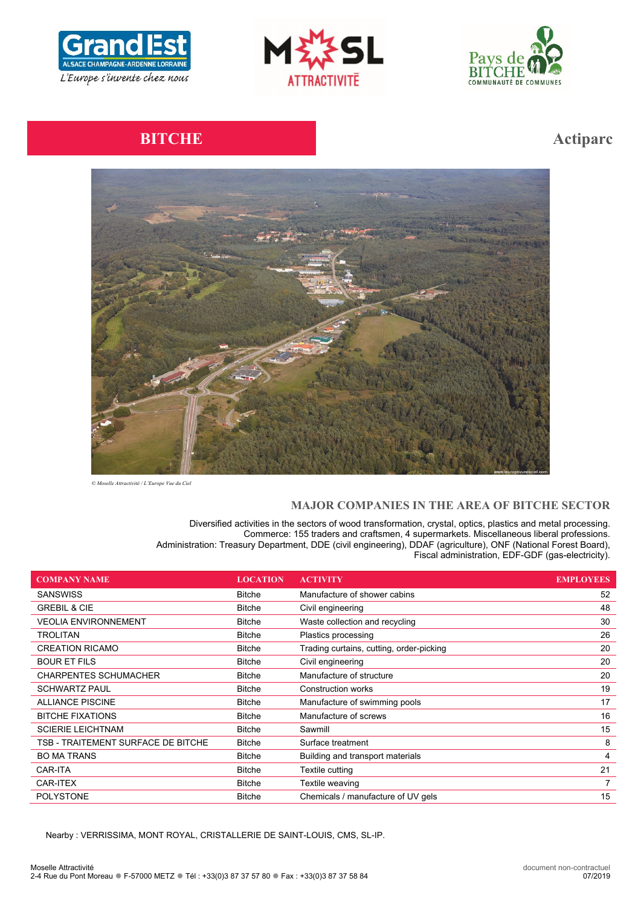





# **BITCHE Action**



*© Moselle Attractivité / L'Europe Vue du Ciel*

# **MAJOR COMPANIES IN THE AREA OF BITCHE SECTOR**

Diversified activities in the sectors of wood transformation, crystal, optics, plastics and metal processing. Commerce: 155 traders and craftsmen, 4 supermarkets. Miscellaneous liberal professions. Administration: Treasury Department, DDE (civil engineering), DDAF (agriculture), ONF (National Forest Board), Fiscal administration, EDF-GDF (gas-electricity).

| <b>COMPANY NAME</b>                | <b>LOCATION</b> | <b>ACTIVITY</b>                          | <b>EMPLOYEES</b> |
|------------------------------------|-----------------|------------------------------------------|------------------|
| <b>SANSWISS</b>                    | <b>Bitche</b>   | Manufacture of shower cabins             | 52               |
| <b>GREBIL &amp; CIE</b>            | <b>Bitche</b>   | Civil engineering                        | 48               |
| <b>VEOLIA ENVIRONNEMENT</b>        | <b>Bitche</b>   | Waste collection and recycling           | 30               |
| TROLITAN                           | <b>Bitche</b>   | Plastics processing                      | 26               |
| <b>CREATION RICAMO</b>             | <b>Bitche</b>   | Trading curtains, cutting, order-picking | 20               |
| <b>BOUR ET FILS</b>                | <b>Bitche</b>   | Civil engineering                        | 20               |
| <b>CHARPENTES SCHUMACHER</b>       | Bitche          | Manufacture of structure                 | 20               |
| <b>SCHWARTZ PAUL</b>               | <b>Bitche</b>   | <b>Construction works</b>                | 19               |
| <b>ALLIANCE PISCINE</b>            | <b>Bitche</b>   | Manufacture of swimming pools            | 17               |
| <b>BITCHE FIXATIONS</b>            | <b>Bitche</b>   | Manufacture of screws                    | 16               |
| <b>SCIERIE LEICHTNAM</b>           | <b>Bitche</b>   | Sawmill                                  | 15               |
| TSB - TRAITEMENT SURFACE DE BITCHE | <b>Bitche</b>   | Surface treatment                        | 8                |
| <b>BO MA TRANS</b>                 | <b>Bitche</b>   | Building and transport materials         | 4                |
| CAR-ITA                            | <b>Bitche</b>   | Textile cutting                          | 21               |
| CAR-ITEX                           | <b>Bitche</b>   | Textile weaving                          |                  |
| <b>POLYSTONE</b>                   | <b>Bitche</b>   | Chemicals / manufacture of UV gels       | 15               |

Nearby : VERRISSIMA, MONT ROYAL, CRISTALLERIE DE SAINT-LOUIS, CMS, SL-IP.